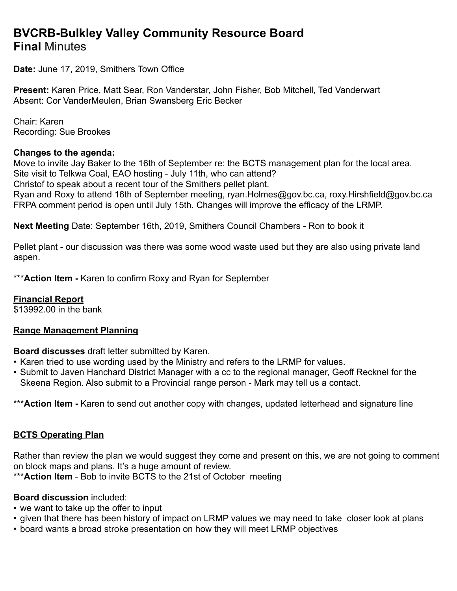# **BVCRB-Bulkley Valley Community Resource Board Final** Minutes

**Date:** June 17, 2019, Smithers Town Office

**Present:** Karen Price, Matt Sear, Ron Vanderstar, John Fisher, Bob Mitchell, Ted Vanderwart Absent: Cor VanderMeulen, Brian Swansberg Eric Becker

Chair: Karen Recording: Sue Brookes

#### **Changes to the agenda:**

Move to invite Jay Baker to the 16th of September re: the BCTS management plan for the local area. Site visit to Telkwa Coal, EAO hosting - July 11th, who can attend?

Christof to speak about a recent tour of the Smithers pellet plant.

Ryan and Roxy to attend 16th of September meeting, [ryan.Holmes@gov.bc.ca,](mailto:ryan.Holmes@gov.bc.ca) [roxy.Hirshfield@gov.bc.ca](mailto:roxy.Hirshfield@gov.bc.ca) FRPA comment period is open until July 15th. Changes will improve the efficacy of the LRMP.

**Next Meeting** Date: September 16th, 2019, Smithers Council Chambers - Ron to book it

Pellet plant - our discussion was there was some wood waste used but they are also using private land aspen.

\*\*\***Action Item -** Karen to confirm Roxy and Ryan for September

### **Financial Report**

\$13992.00 in the bank

### **Range Management Planning**

**Board discusses** draft letter submitted by Karen.

- Karen tried to use wording used by the Ministry and refers to the LRMP for values.
- Submit to Javen Hanchard District Manager with a cc to the regional manager, Geoff Recknel for the Skeena Region. Also submit to a Provincial range person - Mark may tell us a contact.

\*\*\* Action Item - Karen to send out another copy with changes, updated letterhead and signature line

### **BCTS Operating Plan**

Rather than review the plan we would suggest they come and present on this, we are not going to comment on block maps and plans. It's a huge amount of review.

\*\*\***Action Item** - Bob to invite BCTS to the 21st of October meeting

### **Board discussion** included:

- we want to take up the offer to input
- given that there has been history of impact on LRMP values we may need to take closer look at plans
- board wants a broad stroke presentation on how they will meet LRMP objectives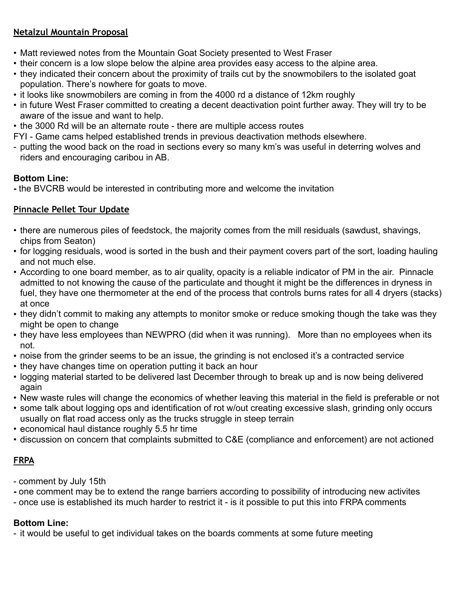### **Netalzul Mountain Proposal**

- Matt reviewed notes from the Mountain Goat Society presented to West Fraser
- their concern is a low slope below the alpine area provides easy access to the alpine area.
- they indicated their concern about the proximity of trails cut by the snowmobilers to the isolated goat population. There's nowhere for goats to move.
- it looks like snowmobilers are coming in from the 4000 rd a distance of 12km roughly
- in future West Fraser committed to creating a decent deactivation point further away. They will try to be aware of the issue and want to help.
- the 3000 Rd will be an alternate route there are multiple access routes
- FYI Game cams helped established trends in previous deactivation methods elsewhere.
- putting the wood back on the road in sections every so many km's was useful in deterring wolves and riders and encouraging caribou in AB.

### **Bottom Line:**

**-** the BVCRB would be interested in contributing more and welcome the invitation

### **Pinnacle Pellet Tour Update**

- there are numerous piles of feedstock, the majority comes from the mill residuals (sawdust, shavings, chips from Seaton)
- for logging residuals, wood is sorted in the bush and their payment covers part of the sort, loading hauling and not much else.
- According to one board member, as to air quality, opacity is a reliable indicator of PM in the air. Pinnacle admitted to not knowing the cause of the particulate and thought it might be the differences in dryness in fuel, they have one thermometer at the end of the process that controls burns rates for all 4 dryers (stacks) at once
- they didn't commit to making any attempts to monitor smoke or reduce smoking though the take was they might be open to change
- they have less employees than NEWPRO (did when it was running). More than no employees when its not.
- noise from the grinder seems to be an issue, the grinding is not enclosed it's a contracted service
- they have changes time on operation putting it back an hour
- logging material started to be delivered last December through to break up and is now being delivered again
- New waste rules will change the economics of whether leaving this material in the field is preferable or not
- some talk about logging ops and identification of rot w/out creating excessive slash, grinding only occurs usually on flat road access only as the trucks struggle in steep terrain
- economical haul distance roughly 5.5 hr time
- discussion on concern that complaints submitted to C&E (compliance and enforcement) are not actioned

# **FRPA**

- comment by July 15th
- **-** one comment may be to extend the range barriers according to possibility of introducing new activites
- once use is established its much harder to restrict it is it possible to put this into FRPA comments

# **Bottom Line:**

- it would be useful to get individual takes on the boards comments at some future meeting